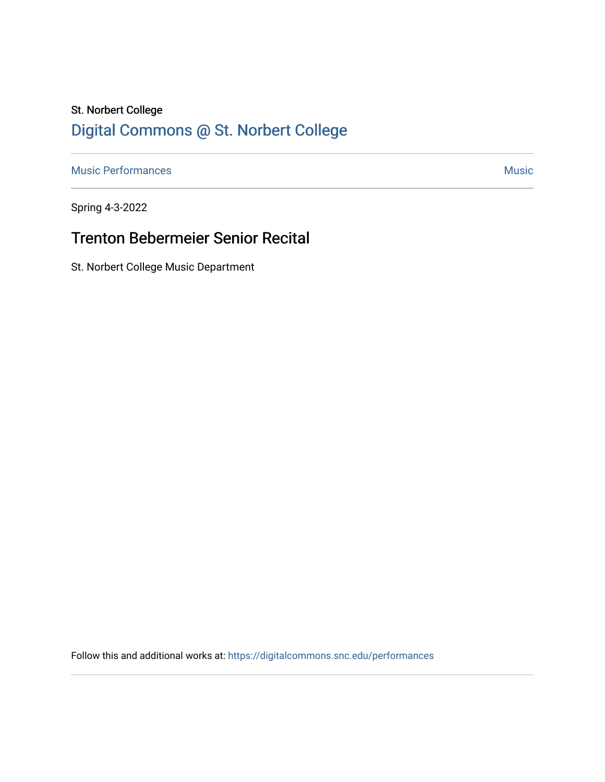# St. Norbert College [Digital Commons @ St. Norbert College](https://digitalcommons.snc.edu/)

[Music Performances](https://digitalcommons.snc.edu/performances) and the contract of the contract of the contract of the contract of the contract of the contract of the contract of the contract of the contract of the contract of the contract of the contract of the con

Spring 4-3-2022

## Trenton Bebermeier Senior Recital

St. Norbert College Music Department

Follow this and additional works at: [https://digitalcommons.snc.edu/performances](https://digitalcommons.snc.edu/performances?utm_source=digitalcommons.snc.edu%2Fperformances%2F167&utm_medium=PDF&utm_campaign=PDFCoverPages)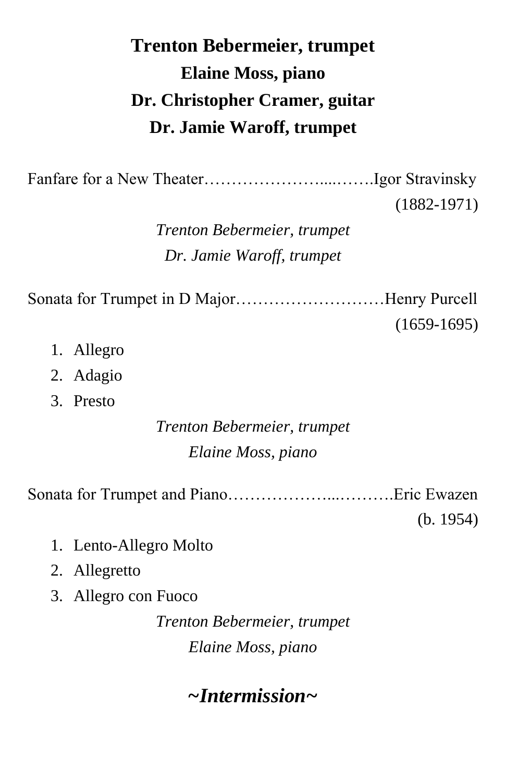# **Trenton Bebermeier, trumpet Elaine Moss, piano Dr. Christopher Cramer, guitar Dr. Jamie Waroff, trumpet**

Fanfare for a New Theater…………………....…….Igor Stravinsky

(1882-1971)

*Trenton Bebermeier, trumpet Dr. Jamie Waroff, trumpet*

Sonata for Trumpet in D Major………………………Henry Purcell (1659-1695)

- 1. Allegro
- 2. Adagio
- 3. Presto

### *Trenton Bebermeier, trumpet Elaine Moss, piano*

Sonata for Trumpet and Piano………………...……….Eric Ewazen

(b. 1954)

- 1. Lento-Allegro Molto
- 2. Allegretto
- 3. Allegro con Fuoco

*Trenton Bebermeier, trumpet Elaine Moss, piano*

## *~Intermission~*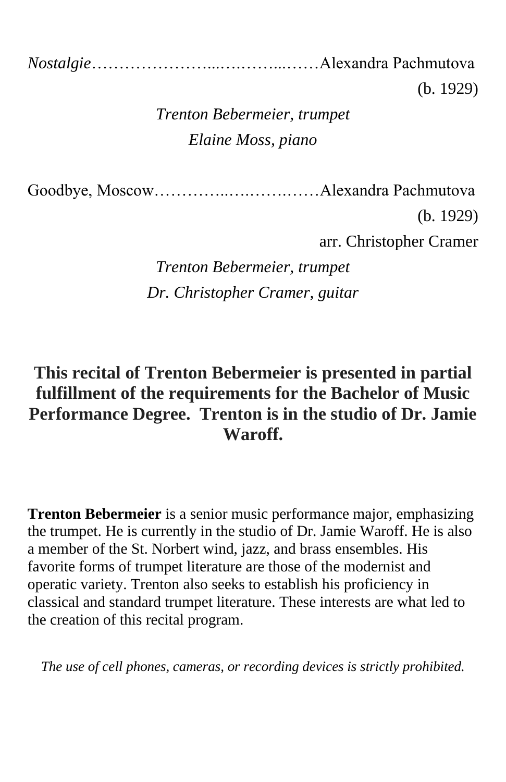*Nostalgie*…………………...….……...……Alexandra Pachmutova

(b. 1929)

## *Trenton Bebermeier, trumpet Elaine Moss, piano*

Goodbye, Moscow…………..….…….……Alexandra Pachmutova

(b. 1929)

arr. Christopher Cramer

*Trenton Bebermeier, trumpet Dr. Christopher Cramer, guitar*

### **This recital of Trenton Bebermeier is presented in partial fulfillment of the requirements for the Bachelor of Music Performance Degree. Trenton is in the studio of Dr. Jamie Waroff.**

**Trenton Bebermeier** is a senior music performance major, emphasizing the trumpet. He is currently in the studio of Dr. Jamie Waroff. He is also a member of the St. Norbert wind, jazz, and brass ensembles. His favorite forms of trumpet literature are those of the modernist and operatic variety. Trenton also seeks to establish his proficiency in classical and standard trumpet literature. These interests are what led to the creation of this recital program.

*The use of cell phones, cameras, or recording devices is strictly prohibited.*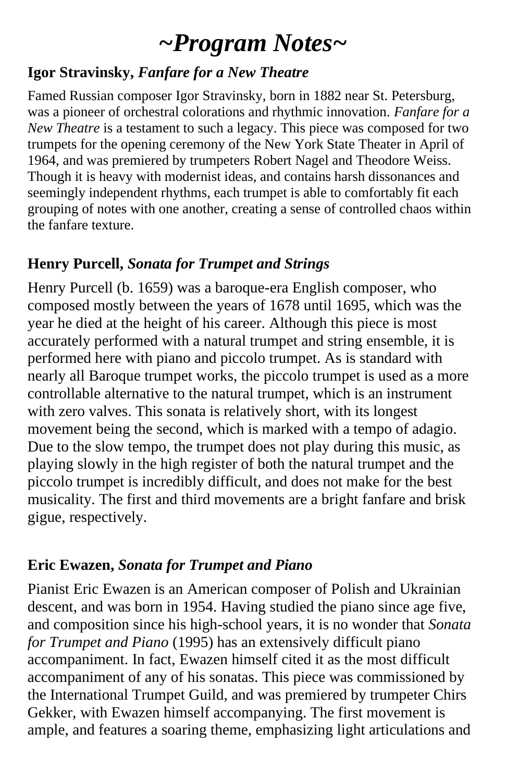# *~Program Notes~*

### **Igor Stravinsky,** *Fanfare for a New Theatre*

Famed Russian composer Igor Stravinsky, born in 1882 near St. Petersburg, was a pioneer of orchestral colorations and rhythmic innovation. *Fanfare for a New Theatre* is a testament to such a legacy. This piece was composed for two trumpets for the opening ceremony of the New York State Theater in April of 1964, and was premiered by trumpeters Robert Nagel and Theodore Weiss. Though it is heavy with modernist ideas, and contains harsh dissonances and seemingly independent rhythms, each trumpet is able to comfortably fit each grouping of notes with one another, creating a sense of controlled chaos within the fanfare texture.

### **Henry Purcell,** *Sonata for Trumpet and Strings*

Henry Purcell (b. 1659) was a baroque-era English composer, who composed mostly between the years of 1678 until 1695, which was the year he died at the height of his career. Although this piece is most accurately performed with a natural trumpet and string ensemble, it is performed here with piano and piccolo trumpet. As is standard with nearly all Baroque trumpet works, the piccolo trumpet is used as a more controllable alternative to the natural trumpet, which is an instrument with zero valves. This sonata is relatively short, with its longest movement being the second, which is marked with a tempo of adagio. Due to the slow tempo, the trumpet does not play during this music, as playing slowly in the high register of both the natural trumpet and the piccolo trumpet is incredibly difficult, and does not make for the best musicality. The first and third movements are a bright fanfare and brisk gigue, respectively.

#### **Eric Ewazen,** *Sonata for Trumpet and Piano*

Pianist Eric Ewazen is an American composer of Polish and Ukrainian descent, and was born in 1954. Having studied the piano since age five, and composition since his high-school years, it is no wonder that *Sonata for Trumpet and Piano* (1995) has an extensively difficult piano accompaniment. In fact, Ewazen himself cited it as the most difficult accompaniment of any of his sonatas. This piece was commissioned by the International Trumpet Guild, and was premiered by trumpeter Chirs Gekker, with Ewazen himself accompanying. The first movement is ample, and features a soaring theme, emphasizing light articulations and